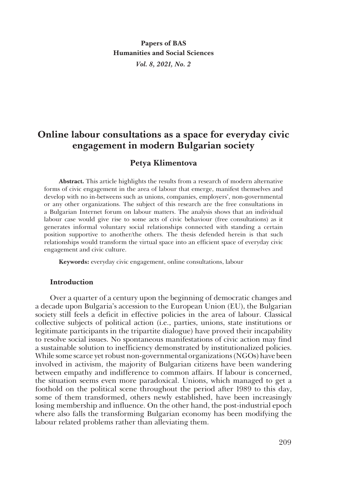**Papers of BAS Humanities and Social Sciences** *Vol. 8, 2021, No. 2*

# **Online labour consultations as a space for everyday civic engagement in modern Bulgarian society**

# **Petya Klimentova**

**Abstract.** This article highlights the results from a research of modern alternative forms of civic engagement in the area of labour that emerge, manifest themselves and develop with no in-betweens such as unions, companies, employers', non-governmental or any other organizations. The subject of this research are the free consultations in a Bulgarian Internet forum on labour matters. The analysis shows that an individual labour case would give rise to some acts of civic behaviour (free consultations) as it generates informal voluntary social relationships connected with standing a certain position supportive to another/the others. The thesis defended herein is that such relationships would transform the virtual space into an efficient space of everyday civic engagement and civic culture.

**Keywords:** everyday civic engagement, online consultations, labour

#### **Introduction**

Over a quarter of a century upon the beginning of democratic changes and a decade upon Bulgaria's accession to the European Union (EU), the Bulgarian society still feels a deficit in effective policies in the area of labour. Classical collective subjects of political action (i.e., parties, unions, state institutions or legitimate participants in the tripartite dialogue) have proved their incapability to resolve social issues. No spontaneous manifestations of civic action may find a sustainable solution to inefficiency demonstrated by institutionalized policies. While some scarce yet robust non-governmental organizations (NGOs) have been involved in activism, the majority of Bulgarian citizens have been wandering between empathy and indifference to common affairs. If labour is concerned, the situation seems even more paradoxical. Unions, which managed to get a foothold on the political scene throughout the period after 1989 to this day, some of them transformed, others newly established, have been increasingly losing membership and influence. On the other hand, the post-industrial epoch where also falls the transforming Bulgarian economy has been modifying the labour related problems rather than alleviating them.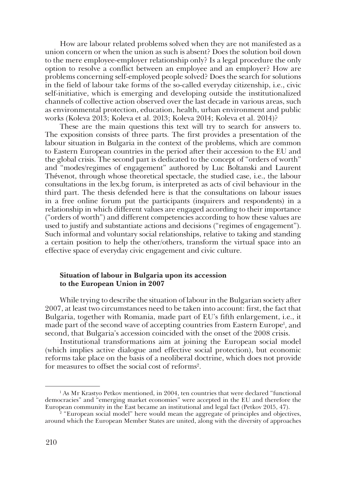How are labour related problems solved when they are not manifested as a union concern or when the union as such is absent? Does the solution boil down to the mere employee-employer relationship only? Is a legal procedure the only option to resolve a conflict between an employee and an employer? How are problems concerning self-employed people solved? Does the search for solutions in the field of labour take forms of the so-called everyday citizenship, i.e., civic self-initiative, which is emerging and developing outside the institutionalized channels of collective action observed over the last decade in various areas, such as environmental protection, education, health, urban environment and public works (Koleva 2013; Koleva et al. 2013; Koleva 2014; Koleva et al. 2014)?

These are the main questions this text will try to search for answers to. The exposition consists of three parts. The first provides a presentation of the labour situation in Bulgaria in the context of the problems, which are common to Eastern European countries in the period after their accession to the EU and the global crisis. The second part is dedicated to the concept of "orders of worth" and "modes/regimes of engagement" authored by Luc Boltanski and Laurent Thévenot, through whose theoretical spectacle, the studied case, i.e., the labour consultations in the lex.bg forum, is interpreted as acts of civil behaviour in the third part. The thesis defended here is that the consultations on labour issues in a free online forum put the participants (inquirers and respondents) in a relationship in which different values are engaged according to their importance ("orders of worth") and different competencies according to how these values are used to justify and substantiate actions and decisions ("regimes of engagement"). Such informal and voluntary social relationships, relative to taking and standing a certain position to help the other/others, transform the virtual space into an effective space of everyday civic engagement and civic culture.

## **Situation of labour in Bulgaria upon its accession to the European Union in 2007**

While trying to describe the situation of labour in the Bulgarian society after 2007, at least two circumstances need to be taken into account: first, the fact that Bulgaria, together with Romania, made part of EU's fifth enlargement, i.e., it made part of the second wave of accepting countries from Eastern Europe<sup>1</sup>, and second, that Bulgaria's accession coincided with the onset of the 2008 crisis.

Institutional transformations aim at joining the European social model (which implies active dialogue and effective social protection), but economic reforms take place on the basis of a neoliberal doctrine, which does not provide for measures to offset the social cost of reforms<sup>2</sup>.

 $1$  As Mr Krastyo Petkov mentioned, in 2004, ten countries that were declared "functional democracies" and "emerging market economies" were accepted in the EU and therefore the European community in the East became an institutional and legal fact (Petkov 2015, 47).<br><sup>2</sup> "European social model" here would mean the aggregate of principles and objectives,

around which the European Member States are united, along with the diversity of approaches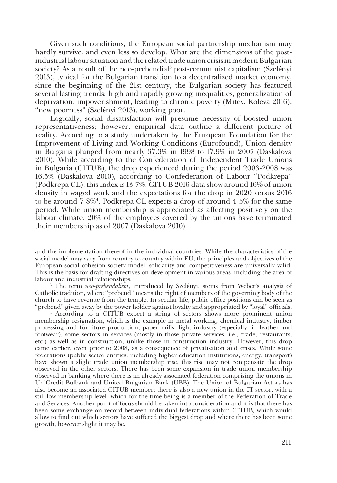Given such conditions, the European social partnership mechanism may hardly survive, and even less so develop. What are the dimensions of the postindustrial labour situation and the related trade union crisis in modern Bulgarian society? As a result of the neo-prebendial<sup>3</sup> post-communist capitalism (Szelényi 2013), typical for the Bulgarian transition to a decentralized market economy, since the beginning of the 21st century, the Bulgarian society has featured several lasting trends: high and rapidly growing inequalities, generalization of deprivation, impoverishment, leading to chronic poverty (Mitev, Koleva 2016), "new poorness" (Szelényi 2013), working poor.

Logically, social dissatisfaction will presume necessity of boosted union representativeness; however, empirical data outline a different picture of reality. According to a study undertaken by the European Foundation for the Improvement of Living and Working Conditions (Eurofound), Union density in Bulgaria plunged from nearly 37.3% in 1998 to 17.9% in 2007 (Daskalova 2010). While according to the Confederation of Independent Trade Unions in Bulgaria (CITUB), the drop experienced during the period 2003-2008 was 16.5% (Daskalova 2010), according to Confederation of Labour "Podkrepa" (Podkrepa CL), this index is 13.7%. CITUB 2016 data show around 16% of union density in waged work and the expectations for the drop in 2020 versus 2016 to be around 7-8%4 . Podkrepa CL expects a drop of around 4-5% for the same period. While union membership is appreciated as affecting positively on the labour climate, 20% of the employees covered by the unions have terminated their membership as of 2007 (Daskalova 2010).

and the implementation thereof in the individual countries. While the characteristics of the social model may vary from country to country within EU, the principles and objectives of the European social cohesion society model, solidarity and competitiveness are universally valid. This is the basis for drafting directives on development in various areas, including the area of labour and industrial relationships.

<sup>3</sup> The term *neo-prebendalism*, introduced by Szelényi, stems from Weber's analysis of Catholic tradition, where "prebend" means the right of members of the governing body of the church to have revenue from the temple. In secular life, public office positions can be seen as "prebend" given away by the power holder against loyalty and appropriated by "loyal" officials.

<sup>4</sup> According to a CITUB expert a string of sectors shows more prominent union membership resignation, which is the example in metal working, chemical industry, timber processing and furniture production, paper mills, light industry (especially, in leather and footwear), some sectors in services (mostly in those private services, i.e., trade, restaurants, etc.) as well as in construction, unlike those in construction industry. However, this drop came earlier, even prior to 2008, as a consequence of privatisation and crises. While some federations (public sector entities, including higher education institutions, energy, transport) have shown a slight trade union membership rise, this rise may not compensate the drop observed in the other sectors. There has been some expansion in trade union membership observed in banking where there is an already associated federation comprising the unions in UniCredit Bulbank and United Bulgarian Bank (UBB). The Union of Bulgarian Actors has also become an associated CITUB member; there is also a new union in the IT sector, with a still low membership level, which for the time being is a member of the Federation of Trade and Services. Another point of focus should be taken into consideration and it is that there has been some exchange on record between individual federations within CITUB, which would allow to find out which sectors have suffered the biggest drop and where there has been some growth, however slight it may be.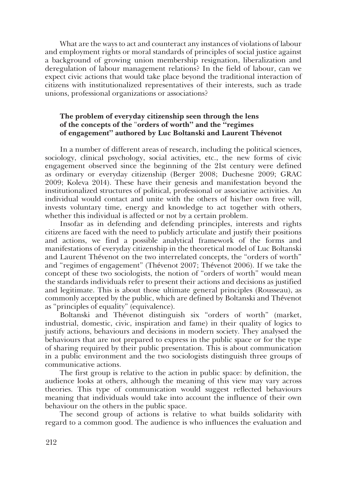What are the ways to act and counteract any instances of violations of labour and employment rights or moral standards of principles of social justice against a background of growing union membership resignation, liberalization and deregulation of labour management relations? In the field of labour, can we expect civic actions that would take place beyond the traditional interaction of citizens with institutionalized representatives of their interests, such as trade unions, professional organizations or associations?

## **The problem of everyday citizenship seen through the lens of the concepts of the** "**orders of worth" and the "regimes of engagement" authored by Luc Boltanski and Laurent Thévenot**

In a number of different areas of research, including the political sciences, sociology, clinical psychology, social activities, etc., the new forms of civic engagement observed since the beginning of the 21st century were defined as ordinary or everyday citizenship (Berger 2008; Duchesne 2009; GRAC 2009; Koleva 2014). These have their genesis and manifestation beyond the institutionalized structures of political, professional or associative activities. An individual would contact and unite with the others of his/her own free will, invests voluntary time, energy and knowledge to act together with others, whether this individual is affected or not by a certain problem.

Insofar as in defending and defending principles, interests and rights citizens are faced with the need to publicly articulate and justify their positions and actions, we find a possible analytical framework of the forms and manifestations of everyday citizenship in the theoretical model of Luc Boltanski and Laurent Thévenot on the two interrelated concepts, the "orders of worth" and "regimes of engagement" (Thévenot 2007; Thévenot 2006). If we take the concept of these two sociologists, the notion of "orders of worth" would mean the standards individuals refer to present their actions and decisions as justified and legitimate. This is about those ultimate general principles (Rousseau), as commonly accepted by the public, which are defined by Boltanski and Thévenot as "principles of equality" (equivalence).

Boltanski and Thévenot distinguish six "orders of worth" (market, industrial, domestic, civic, inspiration and fame) in their quality of logics to justify actions, behaviours and decisions in modern society. They analysed the behaviours that are not prepared to express in the public space or for the type of sharing required by their public presentation. This is about communication in a public environment and the two sociologists distinguish three groups of communicative actions.

The first group is relative to the action in public space: by definition, the audience looks at others, although the meaning of this view may vary across theories. This type of communication would suggest reflected behaviours meaning that individuals would take into account the influence of their own behaviour on the others in the public space.

The second group of actions is relative to what builds solidarity with regard to a common good. The audience is who influences the evaluation and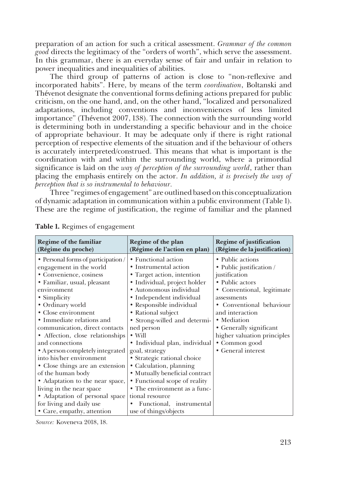preparation of an action for such a critical assessment. *Grammar of the common good* directs the legitimacy of the "orders of worth", which serve the assessment. In this grammar, there is an everyday sense of fair and unfair in relation to power inequalities and inequalities of abilities.

The third group of patterns of action is close to "non-reflexive and incorporated habits". Here, by means of the term *coordination*, Boltanski and Thévenot designate the conventional forms defining actions prepared for public criticism, on the one hand, and, on the other hand, "localized and personalized adaptations, including conventions and inconveniences of less limited importance" (Thévenot 2007, 138). The connection with the surrounding world is determining both in understanding a specific behaviour and in the choice of appropriate behaviour. It may be adequate only if there is right rational perception of respective elements of the situation and if the behaviour of others is accurately interpreted/construed. This means that what is important is the coordination with and within the surrounding world, where a primordial significance is laid on the *way of perception of the surrounding world*, rather than placing the emphasis entirely on the actor. *In addition, it is precisely the way of perception that is so instrumental to behaviour.*

Three "regimes of engagement" are outlined based on this conceptualization of dynamic adaptation in communication within a public environment (Table 1). These are the regime of justification, the regime of familiar and the planned

| Regime of the familiar<br>(Régime du proche)                                                                                                                                                                                                                                                                                                                                                                                                                                                                                                                                  | Regime of the plan<br>(Régime de l'action en plan)                                                                                                                                                                                                                                                                                                                                                                                                                                                                                                 | <b>Regime of justification</b><br>(Régime de la justification)                                                                                                                                                                                                                               |
|-------------------------------------------------------------------------------------------------------------------------------------------------------------------------------------------------------------------------------------------------------------------------------------------------------------------------------------------------------------------------------------------------------------------------------------------------------------------------------------------------------------------------------------------------------------------------------|----------------------------------------------------------------------------------------------------------------------------------------------------------------------------------------------------------------------------------------------------------------------------------------------------------------------------------------------------------------------------------------------------------------------------------------------------------------------------------------------------------------------------------------------------|----------------------------------------------------------------------------------------------------------------------------------------------------------------------------------------------------------------------------------------------------------------------------------------------|
| • Personal forms of participation /<br>engagement in the world<br>• Convenience, cosiness<br>· Familiar, usual, pleasant<br>environment<br>• Simplicity<br>• Ordinary world<br>• Close environment<br>• Immediate relations and<br>communication, direct contacts<br>• Affection, close relationships<br>and connections<br>• A person completely integrated<br>into his/her environment<br>• Close things are an extension<br>of the human body<br>• Adaptation to the near space,<br>living in the near space<br>• Adaptation of personal space<br>for living and daily use | • Functional action<br>• Instrumental action<br>• Target action, intention<br>· Individual, project holder<br>• Autonomous individual<br>• Independent individual<br>• Responsible individual<br>• Rational subject<br>• Strong-willed and determi-<br>ned person<br>$\bullet$ Will<br>· Individual plan, individual<br>goal, strategy<br>• Strategic rational choice<br>• Calculation, planning<br>• Mutually beneficial contract<br>• Functional scope of reality<br>• The environment as a func-<br>tional resource<br>Functional, instrumental | • Public actions<br>• Public justification /<br>justification<br>• Public actors<br>• Conventional, legitimate<br>assessments<br>• Conventional behaviour<br>and interaction<br>• Mediation<br>• Generally significant<br>higher valuation principles<br>• Common good<br>• General interest |
| • Care, empathy, attention                                                                                                                                                                                                                                                                                                                                                                                                                                                                                                                                                    | use of things/objects                                                                                                                                                                                                                                                                                                                                                                                                                                                                                                                              |                                                                                                                                                                                                                                                                                              |

**Table 1.** Regimes of engagement

*Source:* Koveneva 2018, 18.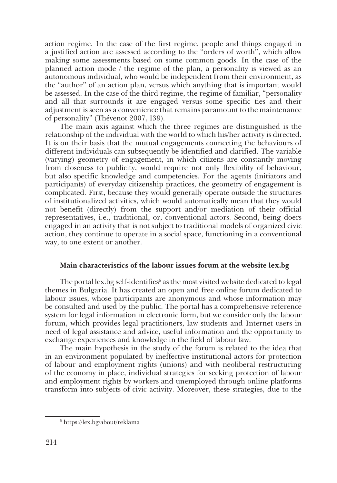action regime. In the case of the first regime, people and things engaged in a justified action are assessed according to the "orders of worth", which allow making some assessments based on some common goods. In the case of the planned action mode / the regime of the plan, a personality is viewed as an autonomous individual, who would be independent from their environment, as the "author" of an action plan, versus which anything that is important would be assessed. In the case of the third regime, the regime of familiar, "personality and all that surrounds it are engaged versus some specific ties and their adjustment is seen as a convenience that remains paramount to the maintenance of personality" (Thévenot 2007, 139).

The main axis against which the three regimes are distinguished is the relationship of the individual with the world to which his/her activity is directed. It is on their basis that the mutual engagements connecting the behaviours of different individuals can subsequently be identified and clarified. The variable (varying) geometry of engagement, in which citizens are constantly moving from closeness to publicity, would require not only flexibility of behaviour, but also specific knowledge and competencies. For the agents (initiators and participants) of everyday citizenship practices, the geometry of engagement is complicated. First, because they would generally operate outside the structures of institutionalized activities, which would automatically mean that they would not benefit (directly) from the support and/or mediation of their official representatives, i.e., traditional, or, conventional actors. Second, being doers engaged in an activity that is not subject to traditional models of organized civic action, they continue to operate in a social space, functioning in a conventional way, to one extent or another.

# **Main characteristics of the labour issues forum at the website lex.bg**

The portal lex.bg self-identifies<sup>5</sup> as the most visited website dedicated to legal themes in Bulgaria. It has created an open and free online forum dedicated to labour issues, whose participants are anonymous and whose information may be consulted and used by the public. The portal has a comprehensive reference system for legal information in electronic form, but we consider only the labour forum, which provides legal practitioners, law students and Internet users in need of legal assistance and advice, useful information and the opportunity to exchange experiences and knowledge in the field of labour law.

The main hypothesis in the study of the forum is related to the idea that in an environment populated by ineffective institutional actors for protection of labour and employment rights (unions) and with neoliberal restructuring of the economy in place, individual strategies for seeking protection of labour and employment rights by workers and unemployed through online platforms transform into subjects of civic activity. Moreover, these strategies, due to the

<sup>5</sup> https://lex.bg/about/reklama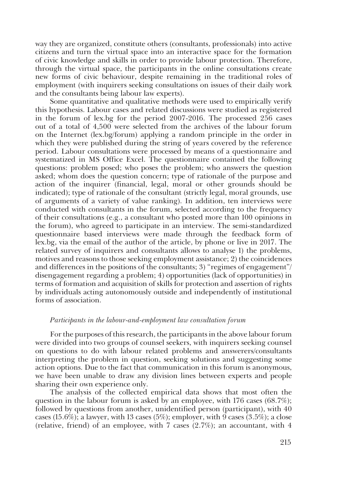way they are organized, constitute others (consultants, professionals) into active citizens and turn the virtual space into an interactive space for the formation of civic knowledge and skills in order to provide labour protection. Therefore, through the virtual space, the participants in the online consultations create new forms of civic behaviour, despite remaining in the traditional roles of employment (with inquirers seeking consultations on issues of their daily work and the consultants being labour law experts).

Some quantitative and qualitative methods were used to empirically verify this hypothesis. Labour cases and related discussions were studied as registered in the forum of lex.bg for the period 2007-2016. The processed 256 cases out of a total of 4,500 were selected from the archives of the labour forum on the Internet (lex.bg/forum) applying a random principle in the order in which they were published during the string of years covered by the reference period. Labour consultations were processed by means of a questionnaire and systematized in MS Office Excel. The questionnaire contained the following questions: problem posed; who poses the problem; who answers the question asked; whom does the question concern; type of rationale of the purpose and action of the inquirer (financial, legal, moral or other grounds should be indicated); type of rationale of the consultant (strictly legal, moral grounds, use of arguments of a variety of value ranking). In addition, ten interviews were conducted with consultants in the forum, selected according to the frequency of their consultations (e.g., a consultant who posted more than 100 opinions in the forum), who agreed to participate in an interview. The semi-standardized questionnaire based interviews were made through the feedback form of lex.bg, via the email of the author of the article, by phone or live in 2017. The related survey of inquirers and consultants allows to analyse 1) the problems, motives and reasons to those seeking employment assistance; 2) the coincidences and differences in the positions of the consultants; 3) "regimes of engagement"/ disengagement regarding a problem; 4) opportunities (lack of opportunities) in terms of formation and acquisition of skills for protection and assertion of rights by individuals acting autonomously outside and independently of institutional forms of association.

#### *Participants in the labour-and-employment law consultation forum*

For the purposes of this research, the participants in the above labour forum were divided into two groups of counsel seekers, with inquirers seeking counsel on questions to do with labour related problems and answerers/consultants interpreting the problem in question, seeking solutions and suggesting some action options. Due to the fact that communication in this forum is anonymous, we have been unable to draw any division lines between experts and people sharing their own experience only.

The analysis of the collected empirical data shows that most often the question in the labour forum is asked by an employee, with 176 cases (68.7%); followed by questions from another, unidentified person (participant), with 40 cases (15.6%); a lawyer, with 13 cases (5%); employer, with 9 cases (3.5%); a close (relative, friend) of an employee, with 7 cases  $(2.7\%)$ ; an accountant, with 4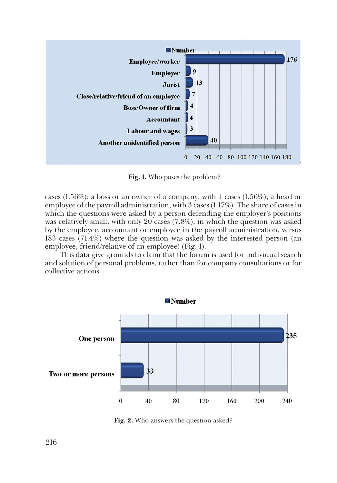

**Fig. 1.** Who poses the problem?

cases (1.56%); a boss or an owner of a company, with 4 cases (1.56%); a head or employee of the payroll administration, with 3 cases (1.17%). The share of cases in which the questions were asked by a person defending the employer's positions was relatively small, with only 20 cases (7.8%), in which the question was asked by the employer, accountant or employee in the payroll administration, versus 183 cases (71.4%) where the question was asked by the interested person (an employee, friend/relative of an employee) (Fig. 1).

This data give grounds to claim that the forum is used for individual search and solution of personal problems, rather than for company consultations or for collective actions.



**Fig. 2.** Who answers the question asked?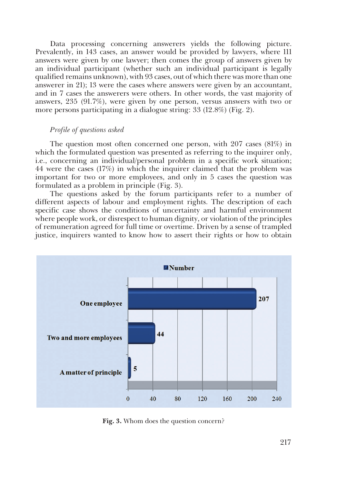Data processing concerning answerers yields the following picture. Prevalently, in 143 cases, an answer would be provided by lawyers, where 111 answers were given by one lawyer; then comes the group of answers given by an individual participant (whether such an individual participant is legally qualified remains unknown), with 93 cases, out of which there was more than one answerer in 21); 13 were the cases where answers were given by an accountant, and in 7 cases the answerers were others. In other words, the vast majority of answers, 235 (91.7%), were given by one person, versus answers with two or more persons participating in a dialogue string: 33 (12.8%) (Fig. 2).

#### *Profile of questions asked*

The question most often concerned one person, with 207 cases (81%) in which the formulated question was presented as referring to the inquirer only, i.e., concerning an individual/personal problem in a specific work situation; 44 were the cases (17%) in which the inquirer claimed that the problem was important for two or more employees, and only in 5 cases the question was formulated as a problem in principle (Fig. 3).

The questions asked by the forum participants refer to a number of different aspects of labour and employment rights. The description of each specific case shows the conditions of uncertainty and harmful environment where people work, or disrespect to human dignity, or violation of the principles of remuneration agreed for full time or overtime. Driven by a sense of trampled justice, inquirers wanted to know how to assert their rights or how to obtain



**Fig. 3.** Whom does the question concern?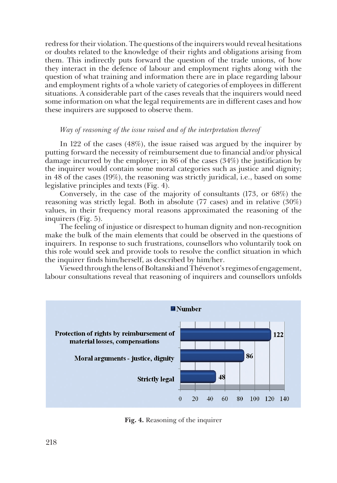redress for their violation. The questions of the inquirers would reveal hesitations or doubts related to the knowledge of their rights and obligations arising from them. This indirectly puts forward the question of the trade unions, of how they interact in the defence of labour and employment rights along with the question of what training and information there are in place regarding labour and employment rights of a whole variety of categories of employees in different situations. A considerable part of the cases reveals that the inquirers would need some information on what the legal requirements are in different cases and how these inquirers are supposed to observe them.

## *Way of reasoning of the issue raised and of the interpretation thereof*

In 122 of the cases (48%), the issue raised was argued by the inquirer by putting forward the necessity of reimbursement due to financial and/or physical damage incurred by the employer; in 86 of the cases (34%) the justification by the inquirer would contain some moral categories such as justice and dignity; in 48 of the cases (19%), the reasoning was strictly juridical, i.e., based on some legislative principles and texts (Fig. 4).

Conversely, in the case of the majority of consultants (173, or 68%) the reasoning was strictly legal. Both in absolute (77 cases) and in relative (30%) values, in their frequency moral reasons approximated the reasoning of the inquirers (Fig. 5).

The feeling of injustice or disrespect to human dignity and non-recognition make the bulk of the main elements that could be observed in the questions of inquirers. In response to such frustrations, counsellors who voluntarily took on this role would seek and provide tools to resolve the conflict situation in which the inquirer finds him/herself, as described by him/her.

Viewed through the lens of Boltanski and Thévenot's regimes of engagement, labour consultations reveal that reasoning of inquirers and counsellors unfolds



**Fig. 4.** Reasoning of the inquirer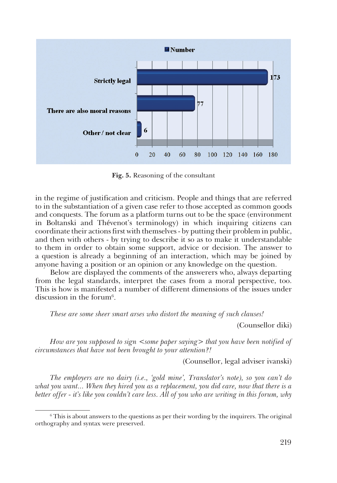

**Fig. 5.** Reasoning of the consultant

in the regime of justification and criticism. People and things that are referred to in the substantiation of a given case refer to those accepted as common goods and conquests. The forum as a platform turns out to be the space (environment in Boltanski and Thévenot's terminology) in which inquiring citizens can coordinate their actions first with themselves - by putting their problem in public, and then with others - by trying to describe it so as to make it understandable to them in order to obtain some support, advice or decision. The answer to a question is already a beginning of an interaction, which may be joined by anyone having a position or an opinion or any knowledge on the question.

Below are displayed the comments of the answerers who, always departing from the legal standards, interpret the cases from a moral perspective, too. This is how is manifested a number of different dimensions of the issues under discussion in the forum $6$ .

*These are some sheer smart arses who distort the meaning of such clauses!*

(Counsellor diki)

*How are you supposed to sign*  $\leq$ *some paper saying*  $>$  *that you have been notified of circumstances that have not been brought to your attention?!* 

(Counsellor, legal adviser ivanski)

*The employers are no dairy (i.e., 'gold mine', Translator's note), so you can't do what you want... When they hired you as a replacement, you did care, now that there is a better offer - it's like you couldn't care less. All of you who are writing in this forum, why* 

 $6$  This is about answers to the questions as per their wording by the inquirers. The original orthography and syntax were preserved.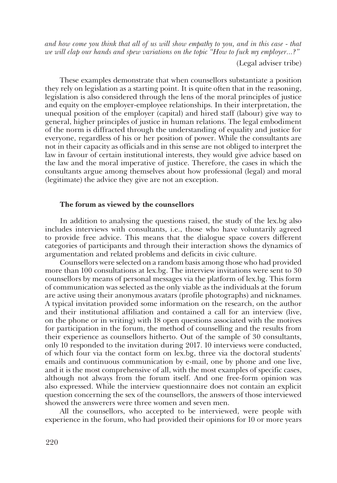*and how come you think that all of us will show empathy to you, and in this case - that we will clap our hands and spew variations on the topic "How to fuck my employer...?"*

(Legal adviser tribe)

These examples demonstrate that when counsellors substantiate a position they rely on legislation as a starting point. It is quite often that in the reasoning, legislation is also considered through the lens of the moral principles of justice and equity on the employer-employee relationships. In their interpretation, the unequal position of the employer (capital) and hired staff (labour) give way to general, higher principles of justice in human relations. The legal embodiment of the norm is diffracted through the understanding of equality and justice for everyone, regardless of his or her position of power. While the consultants are not in their capacity as officials and in this sense are not obliged to interpret the law in favour of certain institutional interests, they would give advice based on the law and the moral imperative of justice. Therefore, the cases in which the consultants argue among themselves about how professional (legal) and moral (legitimate) the advice they give are not an exception.

#### **The forum as viewed by the counsellors**

In addition to analysing the questions raised, the study of the lex.bg also includes interviews with consultants, i.e., those who have voluntarily agreed to provide free advice. This means that the dialogue space covers different categories of participants and through their interaction shows the dynamics of argumentation and related problems and deficits in civic culture.

Counsellors were selected on a random basis among those who had provided more than 100 consultations at lex.bg. The interview invitations were sent to 30 counsellors by means of personal messages via the platform of lex.bg. This form of communication was selected as the only viable as the individuals at the forum are active using their anonymous avatars (profile photographs) and nicknames. A typical invitation provided some information on the research, on the author and their institutional affiliation and contained a call for an interview (live, on the phone or in writing) with 18 open questions associated with the motives for participation in the forum, the method of counselling and the results from their experience as counsellors hitherto. Out of the sample of 30 consultants, only 10 responded to the invitation during 2017. 10 interviews were conducted, of which four via the contact form on lex.bg, three via the doctoral students' emails and continuous communication by e-mail, one by phone and one live, and it is the most comprehensive of all, with the most examples of specific cases, although not always from the forum itself. And one free-form opinion was also expressed. While the interview questionnaire does not contain an explicit question concerning the sex of the counsellors, the answers of those interviewed showed the answerers were three women and seven men.

All the counsellors, who accepted to be interviewed, were people with experience in the forum, who had provided their opinions for 10 or more years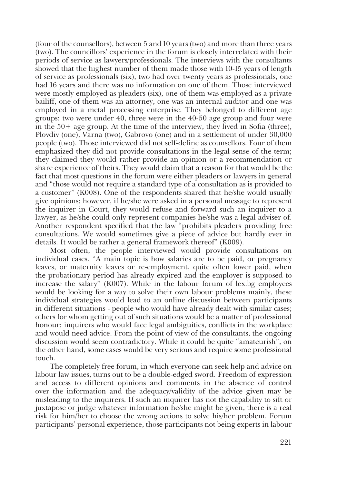(four of the counsellors), between 5 and 10 years (two) and more than three years (two). The councillors' experience in the forum is closely interrelated with their periods of service as lawyers/professionals. The interviews with the consultants showed that the highest number of them made those with 10-15 years of length of service as professionals (six), two had over twenty years as professionals, one had 16 years and there was no information on one of them. Those interviewed were mostly employed as pleaders (six), one of them was employed as a private bailiff, one of them was an attorney, one was an internal auditor and one was employed in a metal processing enterprise. They belonged to different age groups: two were under 40, three were in the 40-50 age group and four were in the 50+ age group. At the time of the interview, they lived in Sofia (three), Plovdiv (one), Varna (two), Gabrovo (one) and in a settlement of under 30,000 people (two). Those interviewed did not self-define as counsellors. Four of them emphasized they did not provide consultations in the legal sense of the term; they claimed they would rather provide an opinion or a recommendation or share experience of theirs. They would claim that a reason for that would be the fact that most questions in the forum were either pleaders or lawyers in general and "those would not require a standard type of a consultation as is provided to a customer" (К008). One of the respondents shared that he/she would usually give opinions; however, if he/she were asked in a personal message to represent the inquirer in Court, they would refuse and forward such an inquirer to a lawyer, as he/she could only represent companies he/she was a legal adviser of. Another respondent specified that the law "prohibits pleaders providing free consultations. We would sometimes give a piece of advice but hardly ever in details. It would be rather a general framework thereof" (К009).

Most often, the people interviewed would provide consultations on individual cases. "A main topic is how salaries are to be paid, or pregnancy leaves, or maternity leaves or re-employment, quite often lower paid, when the probationary period has already expired and the employer is supposed to increase the salary" (К007). While in the labour forum of lex.bg employees would be looking for a way to solve their own labour problems mainly, these individual strategies would lead to an online discussion between participants in different situations - people who would have already dealt with similar cases; others for whom getting out of such situations would be a matter of professional honour; inquirers who would face legal ambiguities, conflicts in the workplace and would need advice. From the point of view of the consultants, the ongoing discussion would seem contradictory. While it could be quite "amateurish", on the other hand, some cases would be very serious and require some professional touch.

The completely free forum, in which everyone can seek help and advice on labour law issues, turns out to be a double-edged sword. Freedom of expression and access to different opinions and comments in the absence of control over the information and the adequacy/validity of the advice given may be misleading to the inquirers. If such an inquirer has not the capability to sift or juxtapose or judge whatever information he/she might be given, there is a real risk for him/her to choose the wrong actions to solve his/her problem. Forum participants' personal experience, those participants not being experts in labour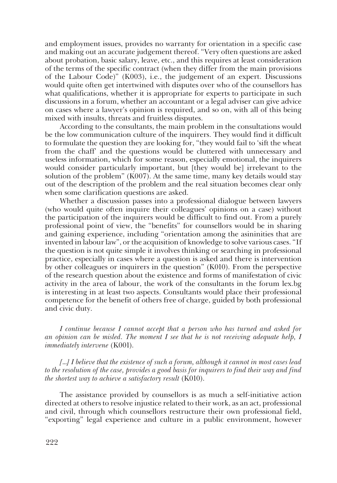and employment issues, provides no warranty for orientation in a specific case and making out an accurate judgement thereof. "Very often questions are asked about probation, basic salary, leave, etc., and this requires at least consideration of the terms of the specific contract (when they differ from the main provisions of the Labour Code)" (K003), i.e., the judgement of an expert. Discussions would quite often get intertwined with disputes over who of the counsellors has what qualifications, whether it is appropriate for experts to participate in such discussions in a forum, whether an accountant or a legal adviser can give advice on cases where a lawyer's opinion is required, and so on, with all of this being mixed with insults, threats and fruitless disputes.

According to the consultants, the main problem in the consultations would be the low communication culture of the inquirers. They would find it difficult to formulate the question they are looking for, "they would fail to 'sift the wheat from the chaff' and the questions would be cluttered with unnecessary and useless information, which for some reason, especially emotional, the inquirers would consider particularly important, but [they would be] irrelevant to the solution of the problem" (K007). At the same time, many key details would stay out of the description of the problem and the real situation becomes clear only when some clarification questions are asked.

Whether a discussion passes into a professional dialogue between lawyers (who would quite often inquire their colleagues' opinions on a case) without the participation of the inquirers would be difficult to find out. From a purely professional point of view, the "benefits" for counsellors would be in sharing and gaining experience, including "orientation among the asininities that are invented in labour law", or the acquisition of knowledge to solve various cases. "If the question is not quite simple it involves thinking or searching in professional practice, especially in cases where a question is asked and there is intervention by other colleagues or inquirers in the question" (К010). From the perspective of the research question about the existence and forms of manifestation of civic activity in the area of labour, the work of the consultants in the forum lex.bg is interesting in at least two aspects. Consultants would place their professional competence for the benefit of others free of charge, guided by both professional and civic duty.

*I continue because I cannot accept that a person who has turned and asked for an opinion can be misled. The moment I see that he is not receiving adequate help, I immediately intervene* (К001).

*[…] I believe that the existence of such a forum, although it cannot in most cases lead to the resolution of the case, provides a good basis for inquirers to find their way and find the shortest way to achieve a satisfactory result* (К010).

The assistance provided by counsellors is as much a self-initiative action directed at others to resolve injustice related to their work, as an act, professional and civil, through which counsellors restructure their own professional field, "exporting" legal experience and culture in a public environment, however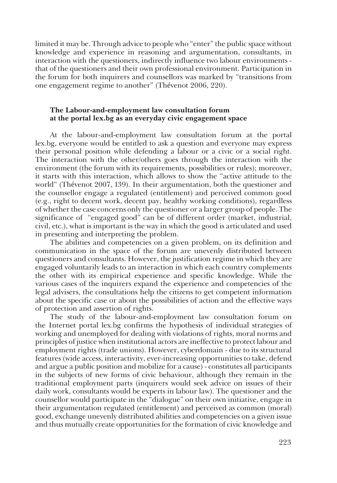limited it may be. Through advice to people who "enter" the public space without knowledge and experience in reasoning and argumentation, consultants, in interaction with the questioners, indirectly influence two labour environments that of the questioners and their own professional environment. Participation in the forum for both inquirers and counsellors was marked by "transitions from one engagement regime to another" (Thévenot 2006, 220).

## **The Labour-and-employment law consultation forum at the portal lex.bg as an everyday civic engagement space**

At the labour-and-employment law consultation forum at the portal lex.bg, everyone would be entitled to ask a question and everyone may express their personal position while defending a labour or a civic or a social right. The interaction with the other/others goes through the interaction with the environment (the forum with its requirements, possibilities or rules); moreover, it starts with this interaction, which allows to show the "active attitude to the world" (Thévenot 2007, 139). In their argumentation, both the questioner and the counsellor engage a regulated (entitlement) and perceived common good (e.g., right to decent work, decent pay, healthy working conditions), regardless of whether the case concerns only the questioner or a larger group of people. The significance of "engaged good" can be of different order (market, industrial, civil, etc.), what is important is the way in which the good is articulated and used in presenting and interpreting the problem.

The abilities and competencies on a given problem, on its definition and communication in the space of the forum are unevenly distributed between questioners and consultants. However, the justification regime in which they are engaged voluntarily leads to an interaction in which each country complements the other with its empirical experience and specific knowledge. While the various cases of the inquirers expand the experience and competencies of the legal advisers, the consultations help the citizens to get competent information about the specific case or about the possibilities of action and the effective ways of protection and assertion of rights.

The study of the labour-and-employment law consultation forum on the Internet portal lex.bg confirms the hypothesis of individual strategies of working and unemployed for dealing with violations of rights, moral norms and principles of justice when institutional actors are ineffective to protect labour and employment rights (trade unions). However, cyberdomain - due to its structural features (wide access, interactivity, ever-increasing opportunities to take, defend and argue a public position and mobilize for a cause) - constitutes all participants in the subjects of new forms of civic behaviour, although they remain in the traditional employment parts (inquirers would seek advice on issues of their daily work, consultants would be experts in labour law). The questioner and the counsellor would participate in the "dialogue" on their own initiative, engage in their argumentation regulated (entitlement) and perceived as common (moral) good, exchange unevenly distributed abilities and competencies on a given issue and thus mutually create opportunities for the formation of civic knowledge and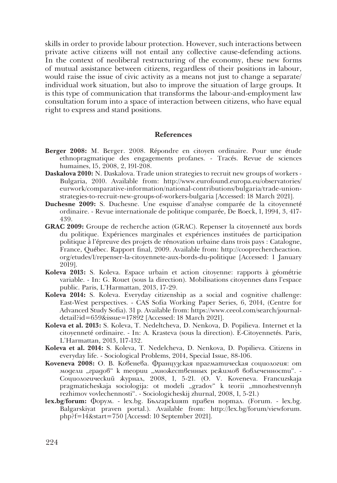skills in order to provide labour protection. However, such interactions between private active citizens will not entail any collective cause-defending actions. In the context of neoliberal restructuring of the economy, these new forms of mutual assistance between citizens, regardless of their positions in labour, would raise the issue of civic activity as a means not just to change a separate/ individual work situation, but also to improve the situation of large groups. It is this type of communication that transforms the labour-and-employment law consultation forum into a space of interaction between citizens, who have equal right to express and stand positions.

#### **References**

- **Berger 2008:** M. Berger. 2008. Répondre en citoyen ordinaire. Pour une étude ethnopragmatique des engagements profanes. - Tracés. Revue de sciences humaines, 15, 2008, 2, 191-208.
- **Daskalova 2010:** N. Daskalova. Trade union strategies to recruit new groups of workers Bulgaria, 2010. Available from: http://www.eurofound.europa.eu/observatories/ eurwork/comparative-information/national-contributions/bulgaria/trade-unionstrategies-to-recruit-new-groups-of-workers-bulgaria [Accessed: 18 March 2021].
- **Duchesne 2009:** S. Duchesne. Une esquisse d'analyse comparée de la citoyenneté ordinaire. - Revue internationale de politique comparée, De Boeck, 1, 1994, 3, 417- 439.
- **GRAC 2009:** Groupe de recherche action (GRAC). Repenser la citoyenneté aux bords du politique. Expériences marginales et expériences instituées de participation politique à l'épreuve des projets de rénovation urbaine dans trois pays : Catalogne, France, Québec. Rapport final, 2009. Available from: http://cooprechercheaction. org/etudes/1/repenser-la-citoyennete-aux-bords-du-politique [Accessed: 1 January 2019].
- **Koleva 2013:** S. Koleva. Espace urbain et action citoyenne: rapports à géométrie variable. - In: G. Rouet (sous la direction). Mobilisations citoyennes dans l'espace public. Paris, L'Harmattan, 2013, 17-29.
- **Koleva 2014:** S. Koleva. Everyday citizenship as a social and cognitive challenge: East-West perspectives. - CAS Sofia Working Paper Series, 6, 2014, (Centre for Advanced Study Sofia). 31 p. Available from: https://www.ceeol.com/search/journaldetail?id=659&issue=17892 [Accessed: 18 March 2021].
- **Koleva et al. 2013:** S. Koleva, T. Nedeltcheva, D. Nenkova, D. Popilieva. Internet et la citoyenneté ordinaire. - In: A. Krasteva (sous la direction). E-Citoyennetés. Paris, L'Harmattan, 2013, 117-132.
- **Koleva et al. 2014:** S. Koleva, T. Nedelcheva, D. Nenkova, D. Popilieva. Citizens in everyday life. - Sociological Problems, 2014, Special Issue, 88-106.
- **Koveneva 2008:** О. В. Ковенева. Французская прагматическая социология: от модели "градов" к теории "множественных режимов вовлеченности". -Социологический журнал, 2008, 1, 5-21. (О. V. Koveneva. Francuzskaja pragmaticheskaja sociologija: ot modeli "gradov" k teorii "mnozhestvennyh rezhimov vovlechennosti". - Sociologicheskij zhurnal, 2008, 1, 5-21.)
- **lex.bg/forum:** Форум. lex.bg. Българският правен портал. (Forum. lex.bg. Balgarskiyat praven portal.). Available from: http://lex.bg/forum/viewforum. php?f=14&start=750 [Accessd: 10 September 2021].